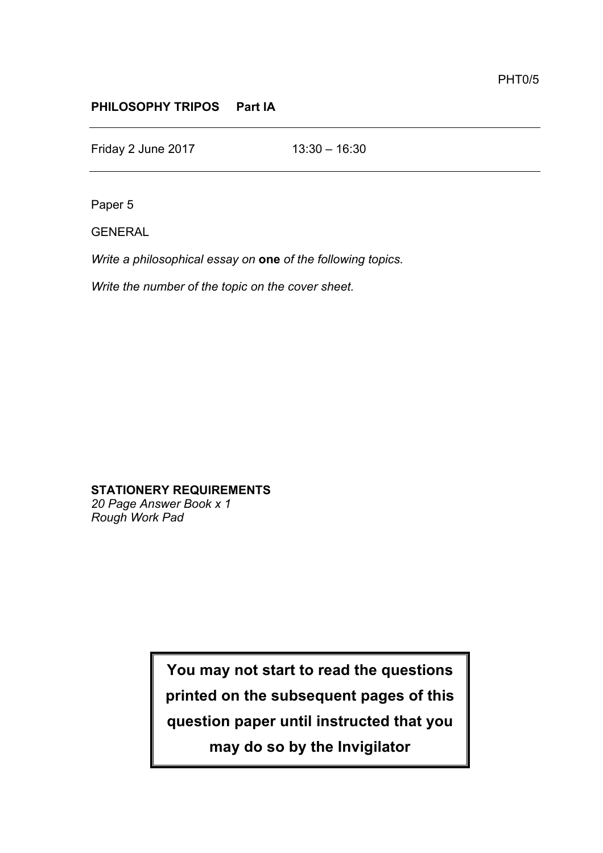## **PHILOSOPHY TRIPOS Part IA**

Friday 2 June 2017 13:30 – 16:30

Paper 5

GENERAL

*Write a philosophical essay on* **one** *of the following topics.* 

*Write the number of the topic on the cover sheet.*

**STATIONERY REQUIREMENTS** *20 Page Answer Book x 1*

*Rough Work Pad*

**You may not start to read the questions printed on the subsequent pages of this question paper until instructed that you may do so by the Invigilator**